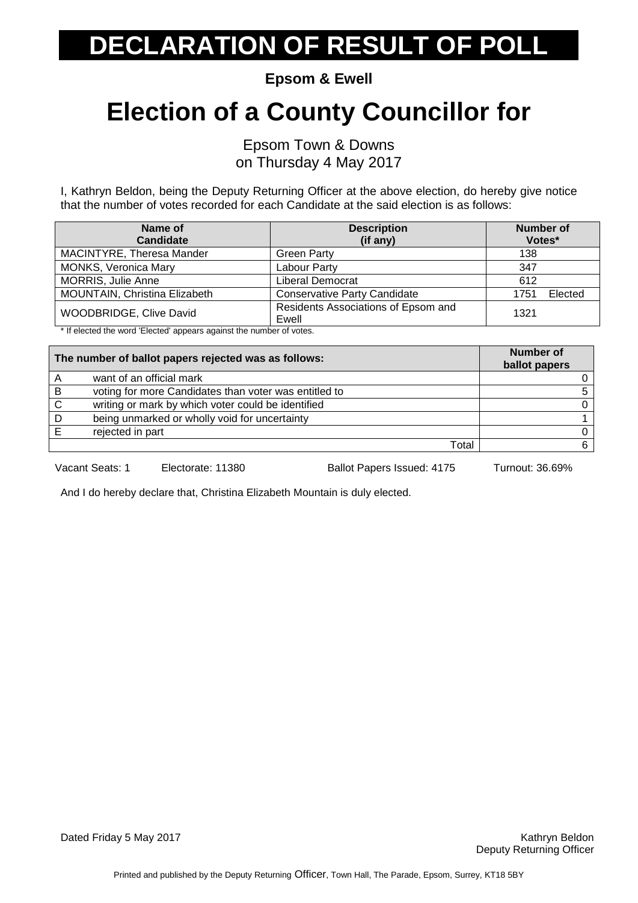# **ECLARATION OF RESULT OF POLL**

**Epsom & Ewell**

### **Election of a County Councillor for**

Epsom Town & Downs on Thursday 4 May 2017

I, Kathryn Beldon, being the Deputy Returning Officer at the above election, do hereby give notice that the number of votes recorded for each Candidate at the said election is as follows:

| Name of<br>Candidate          | <b>Description</b><br>(if any)               | <b>Number of</b><br>Votes* |
|-------------------------------|----------------------------------------------|----------------------------|
| MACINTYRE, Theresa Mander     | <b>Green Party</b>                           | 138                        |
| <b>MONKS, Veronica Mary</b>   | Labour Party                                 | 347                        |
| <b>MORRIS, Julie Anne</b>     | Liberal Democrat                             | 612                        |
| MOUNTAIN, Christina Elizabeth | <b>Conservative Party Candidate</b>          | Elected<br>1751            |
| WOODBRIDGE, Clive David       | Residents Associations of Epsom and<br>Ewell | 1321                       |

\* If elected the word 'Elected' appears against the number of votes.

| The number of ballot papers rejected was as follows: |                                                       | <b>Number of</b><br>ballot papers |
|------------------------------------------------------|-------------------------------------------------------|-----------------------------------|
| A                                                    | want of an official mark                              |                                   |
| B                                                    | voting for more Candidates than voter was entitled to |                                   |
| $\mathsf{C}$                                         | writing or mark by which voter could be identified    |                                   |
| D                                                    | being unmarked or wholly void for uncertainty         |                                   |
|                                                      | rejected in part                                      |                                   |
|                                                      | Total                                                 |                                   |

Vacant Seats: 1 Electorate: 11380 Ballot Papers Issued: 4175 Turnout: 36.69%

And I do hereby declare that, Christina Elizabeth Mountain is duly elected.

Dated Friday 5 May 2017 **Kathryn Beldon Community Community Community Community Community Community Community Community Community Community Community Community Community Community Community Community Community Community**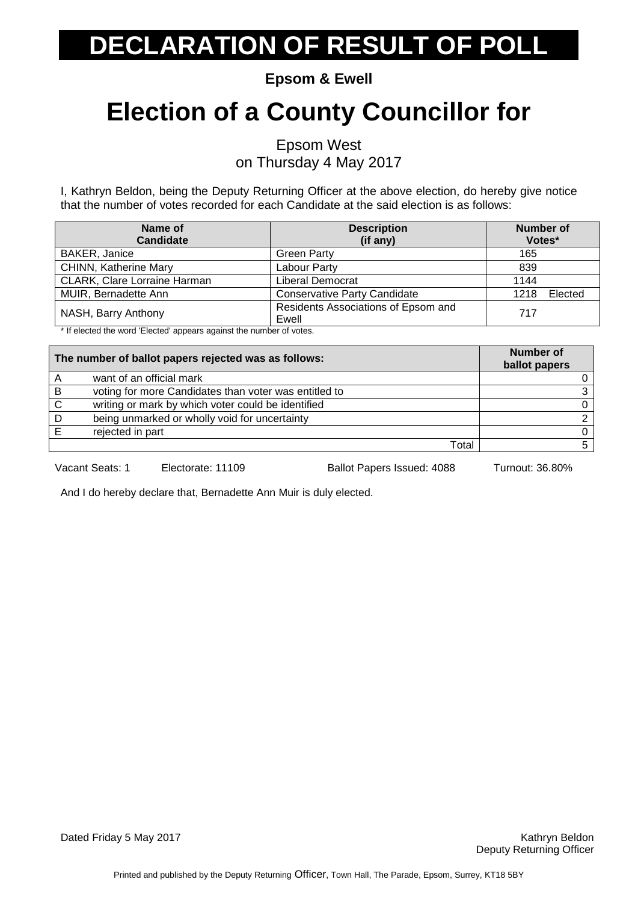# **DECLARATION OF RESULT OF POLL**

**Epsom & Ewell**

### **Election of a County Councillor for**

Epsom West

on Thursday 4 May 2017

I, Kathryn Beldon, being the Deputy Returning Officer at the above election, do hereby give notice that the number of votes recorded for each Candidate at the said election is as follows:

| Name of                             | <b>Description</b>                           | <b>Number of</b> |
|-------------------------------------|----------------------------------------------|------------------|
| <b>Candidate</b>                    | (if any)                                     | Votes*           |
| BAKER, Janice                       | <b>Green Party</b>                           | 165              |
| <b>CHINN, Katherine Mary</b>        | Labour Party                                 | 839              |
| <b>CLARK, Clare Lorraine Harman</b> | Liberal Democrat                             | 1144             |
| MUIR, Bernadette Ann                | <b>Conservative Party Candidate</b>          | Elected<br>1218  |
| NASH, Barry Anthony                 | Residents Associations of Epsom and<br>Ewell | 717              |

\* If elected the word 'Elected' appears against the number of votes.

| The number of ballot papers rejected was as follows: |                                                       | <b>Number of</b><br>ballot papers |
|------------------------------------------------------|-------------------------------------------------------|-----------------------------------|
| A                                                    | want of an official mark                              |                                   |
| B                                                    | voting for more Candidates than voter was entitled to |                                   |
| C                                                    | writing or mark by which voter could be identified    |                                   |
| D                                                    | being unmarked or wholly void for uncertainty         |                                   |
|                                                      | rejected in part                                      |                                   |
|                                                      | Total                                                 |                                   |

Vacant Seats: 1 Electorate: 11109 Ballot Papers Issued: 4088 Turnout: 36.80%

And I do hereby declare that, Bernadette Ann Muir is duly elected.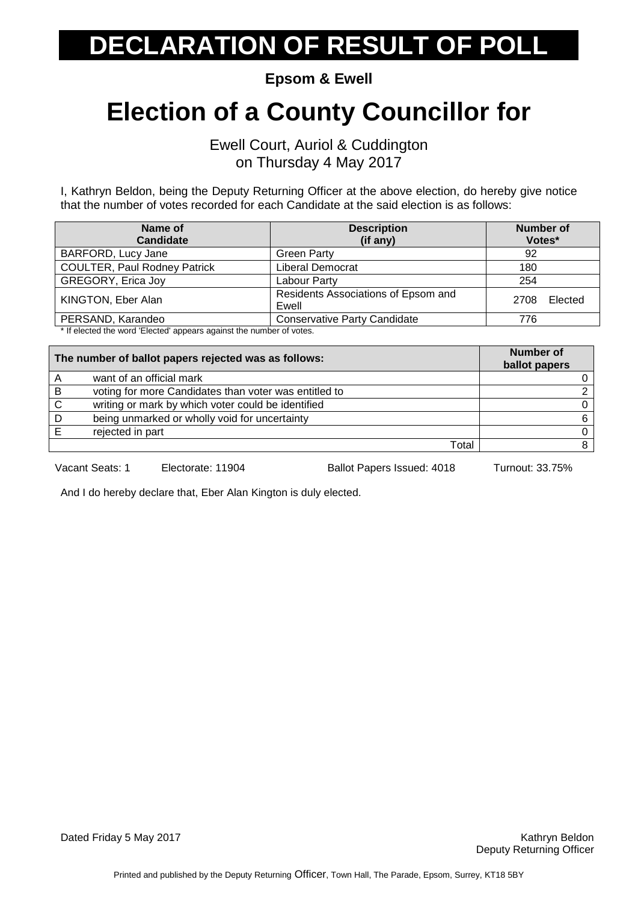# **ECLARATION OF RESULT OF POLL**

**Epsom & Ewell**

#### **Election of a County Councillor for**

Ewell Court, Auriol & Cuddington on Thursday 4 May 2017

I, Kathryn Beldon, being the Deputy Returning Officer at the above election, do hereby give notice that the number of votes recorded for each Candidate at the said election is as follows:

| Name of<br><b>Candidate</b>                                         | <b>Description</b><br>(if any)               | <b>Number of</b><br>Votes* |
|---------------------------------------------------------------------|----------------------------------------------|----------------------------|
| BARFORD, Lucy Jane                                                  | <b>Green Party</b>                           | 92                         |
| <b>COULTER, Paul Rodney Patrick</b>                                 | Liberal Democrat                             | 180                        |
| GREGORY, Erica Joy                                                  | Labour Party                                 | 254                        |
| KINGTON, Eber Alan                                                  | Residents Associations of Epsom and<br>Ewell | Elected<br>2708            |
| PERSAND, Karandeo                                                   | <b>Conservative Party Candidate</b>          | 776                        |
| * If elected the word 'Elected' appears against the number of veter |                                              |                            |

If elected the word 'Elected' appears against the number of votes.

| The number of ballot papers rejected was as follows: |                                                       | Number of<br>ballot papers |
|------------------------------------------------------|-------------------------------------------------------|----------------------------|
|                                                      | want of an official mark                              |                            |
| B                                                    | voting for more Candidates than voter was entitled to |                            |
| C                                                    | writing or mark by which voter could be identified    |                            |
|                                                      | being unmarked or wholly void for uncertainty         | 6.                         |
|                                                      | rejected in part                                      |                            |
|                                                      | Total                                                 |                            |

Vacant Seats: 1 Electorate: 11904 Ballot Papers Issued: 4018 Turnout: 33.75%

And I do hereby declare that, Eber Alan Kington is duly elected.

Dated Friday 5 May 2017 **Kathryn Beldon Community Community Community Community Community Community Community Community Community Community Community Community Community Community Community Community Community Community**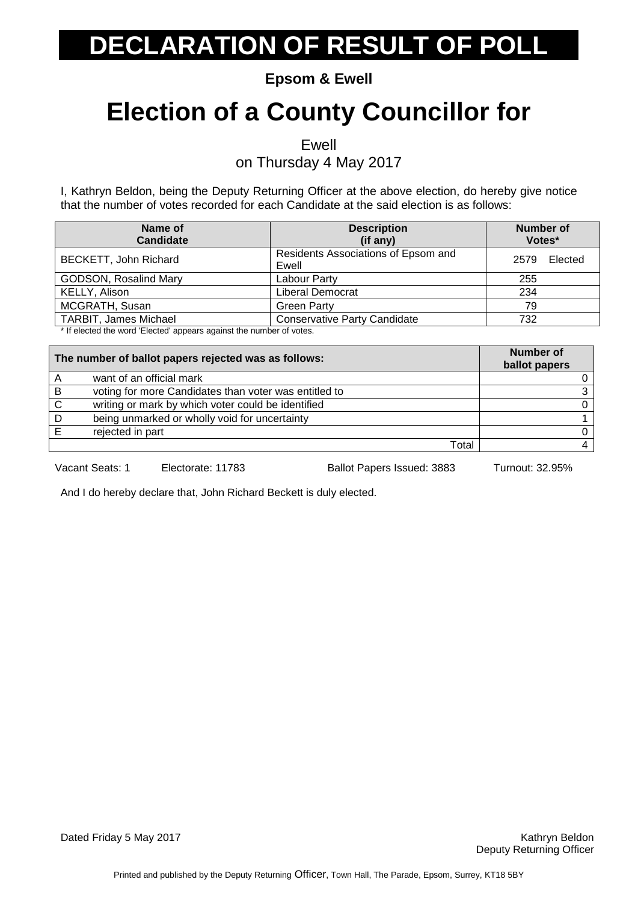# **DECLARATION OF RESULT OF POLL**

**Epsom & Ewell**

### **Election of a County Councillor for**

Ewell

on Thursday 4 May 2017

I, Kathryn Beldon, being the Deputy Returning Officer at the above election, do hereby give notice that the number of votes recorded for each Candidate at the said election is as follows:

| Name of<br><b>Candidate</b>                                                            | <b>Description</b><br>(if any)               | <b>Number of</b><br>Votes* |
|----------------------------------------------------------------------------------------|----------------------------------------------|----------------------------|
| BECKETT, John Richard                                                                  | Residents Associations of Epsom and<br>Ewell | Elected<br>2579            |
| <b>GODSON, Rosalind Mary</b>                                                           | Labour Party                                 | 255                        |
| KELLY, Alison                                                                          | Liberal Democrat                             | 234                        |
| MCGRATH, Susan                                                                         | <b>Green Party</b>                           | 79                         |
| <b>TARBIT, James Michael</b>                                                           | <b>Conservative Party Candidate</b>          | 732                        |
| المتفقين فمرسوط ومرزور وبطفيه والمساوية ومستويد المستحيل المسترين وبطف لمستحدات فالتلا |                                              |                            |

If elected the word 'Elected' appears against the number of votes.

| The number of ballot papers rejected was as follows: |                                                       | Number of<br>ballot papers |
|------------------------------------------------------|-------------------------------------------------------|----------------------------|
|                                                      | want of an official mark                              |                            |
| B                                                    | voting for more Candidates than voter was entitled to |                            |
| C                                                    | writing or mark by which voter could be identified    |                            |
|                                                      | being unmarked or wholly void for uncertainty         |                            |
|                                                      | rejected in part                                      |                            |
|                                                      | Total                                                 |                            |

Vacant Seats: 1 Electorate: 11783 Ballot Papers Issued: 3883 Turnout: 32.95%

And I do hereby declare that, John Richard Beckett is duly elected.